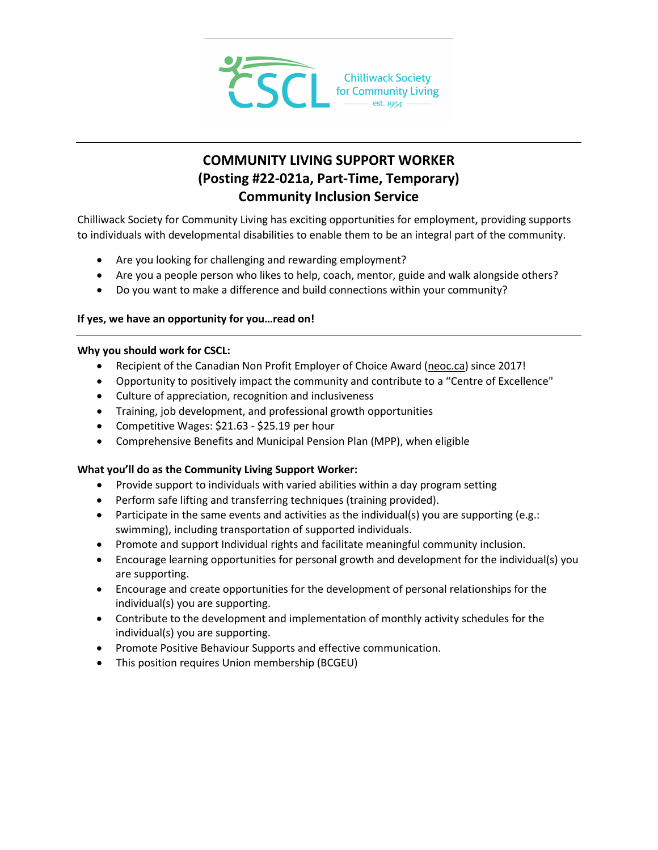

# **COMMUNITY LIVING SUPPORT WORKER (Posting #22-021a, Part-Time, Temporary) Community Inclusion Service**

Chilliwack Society for Community Living has exciting opportunities for employment, providing supports to individuals with developmental disabilities to enable them to be an integral part of the community.

- Are you looking for challenging and rewarding employment?
- Are you a people person who likes to help, coach, mentor, guide and walk alongside others?
- Do you want to make a difference and build connections within your community?

## **If yes, we have an opportunity for you…read on!**

### **Why you should work for CSCL:**

- Recipient of the Canadian Non Profit Employer of Choice Award [\(neoc.ca\)](http://neoc.ca/) since 2017!
- Opportunity to positively impact the community and contribute to a "Centre of Excellence"
- Culture of appreciation, recognition and inclusiveness
- Training, job development, and professional growth opportunities
- Competitive Wages: \$21.63 \$25.19 per hour
- Comprehensive Benefits and Municipal Pension Plan (MPP), when eligible

## **What you'll do as the Community Living Support Worker:**

- Provide support to individuals with varied abilities within a day program setting
- Perform safe lifting and transferring techniques (training provided).
- Participate in the same events and activities as the individual(s) you are supporting (e.g.: swimming), including transportation of supported individuals.
- Promote and support Individual rights and facilitate meaningful community inclusion.
- Encourage learning opportunities for personal growth and development for the individual(s) you are supporting.
- Encourage and create opportunities for the development of personal relationships for the individual(s) you are supporting.
- Contribute to the development and implementation of monthly activity schedules for the individual(s) you are supporting.
- Promote Positive Behaviour Supports and effective communication.
- This position requires Union membership (BCGEU)